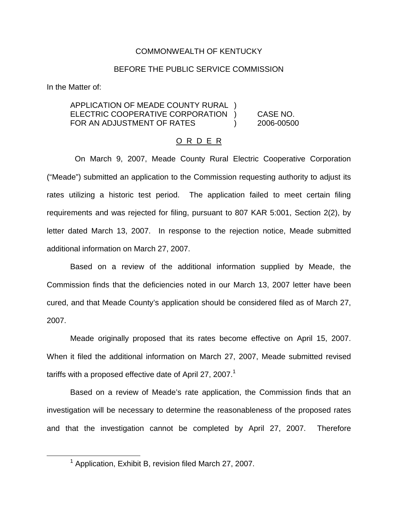#### COMMONWEALTH OF KENTUCKY

#### BEFORE THE PUBLIC SERVICE COMMISSION

In the Matter of:

### APPLICATION OF MEADE COUNTY RURAL ) ELECTRIC COOPERATIVE CORPORATION ) CASE NO. FOR AN ADJUSTMENT OF RATES (2006-00500)

#### O R D E R

On March 9, 2007, Meade County Rural Electric Cooperative Corporation ("Meade") submitted an application to the Commission requesting authority to adjust its rates utilizing a historic test period. The application failed to meet certain filing requirements and was rejected for filing, pursuant to 807 KAR 5:001, Section 2(2), by letter dated March 13, 2007. In response to the rejection notice, Meade submitted additional information on March 27, 2007.

Based on a review of the additional information supplied by Meade, the Commission finds that the deficiencies noted in our March 13, 2007 letter have been cured, and that Meade County's application should be considered filed as of March 27, 2007.

Meade originally proposed that its rates become effective on April 15, 2007. When it filed the additional information on March 27, 2007, Meade submitted revised tariffs with a proposed effective date of April 27, 2007.<sup>1</sup>

Based on a review of Meade's rate application, the Commission finds that an investigation will be necessary to determine the reasonableness of the proposed rates and that the investigation cannot be completed by April 27, 2007. Therefore

 $1$  Application, Exhibit B, revision filed March 27, 2007.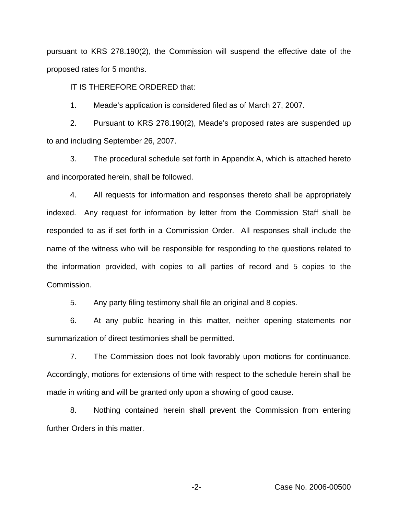pursuant to KRS 278.190(2), the Commission will suspend the effective date of the proposed rates for 5 months.

IT IS THEREFORE ORDERED that:

1. Meade's application is considered filed as of March 27, 2007.

2. Pursuant to KRS 278.190(2), Meade's proposed rates are suspended up to and including September 26, 2007.

3. The procedural schedule set forth in Appendix A, which is attached hereto and incorporated herein, shall be followed.

4. All requests for information and responses thereto shall be appropriately indexed. Any request for information by letter from the Commission Staff shall be responded to as if set forth in a Commission Order. All responses shall include the name of the witness who will be responsible for responding to the questions related to the information provided, with copies to all parties of record and 5 copies to the Commission.

5. Any party filing testimony shall file an original and 8 copies.

6. At any public hearing in this matter, neither opening statements nor summarization of direct testimonies shall be permitted.

7. The Commission does not look favorably upon motions for continuance. Accordingly, motions for extensions of time with respect to the schedule herein shall be made in writing and will be granted only upon a showing of good cause.

8. Nothing contained herein shall prevent the Commission from entering further Orders in this matter.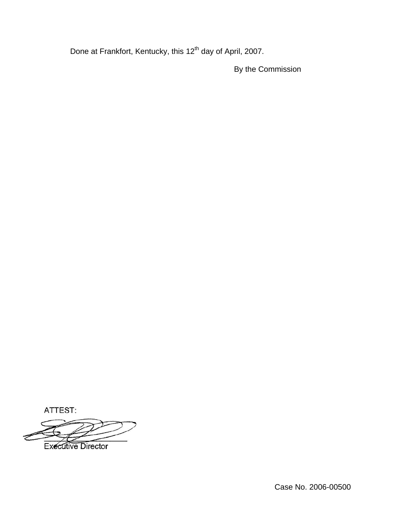Done at Frankfort, Kentucky, this 12<sup>th</sup> day of April, 2007.

By the Commission

ATTEST:

**Executive Director**